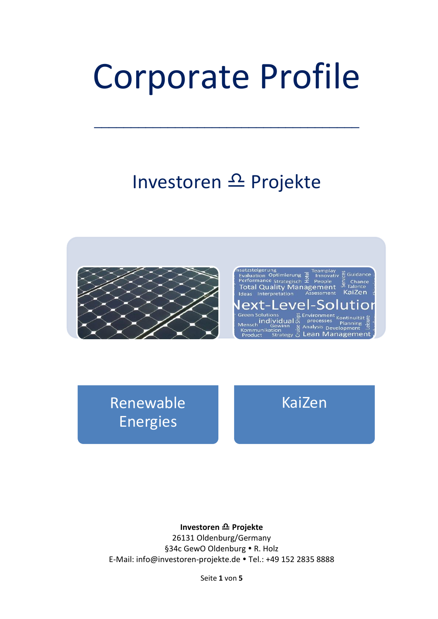# Corporate Profile

\_\_\_\_\_\_\_\_\_\_\_\_\_\_\_\_\_\_\_\_\_\_\_\_\_\_\_\_\_\_\_\_\_\_\_\_

# Investoren  $\triangle$  Projekte



Renewable **Energies** 

Mensch individual  $\overline{5}$  processes planning  $\overline{5}$ <br>
Kommunikation  $\overline{9}$  Analysis Development  $\overline{4}$ <br>
Product Strategy  $\overline{5}$  Lean Management

satzsteigerung<br>Evaluation Optimierung & Innovat<br>Performance Strategisch & People<br>Total Quality Management

Interpretation ext-Leve

**Green Solutions** 

Teamplay<br>Linnovativ <u>o</u> Guidance

חר

Chance<br>Talente KaiZen

KaiZen

#### **Investoren <del></del> Projekte**

26131 Oldenburg/Germany §34c GewO Oldenburg . R. Holz E-Mail: info@investoren-projekte.de . Tel.: +49 152 2835 8888

Seite **1** von **5**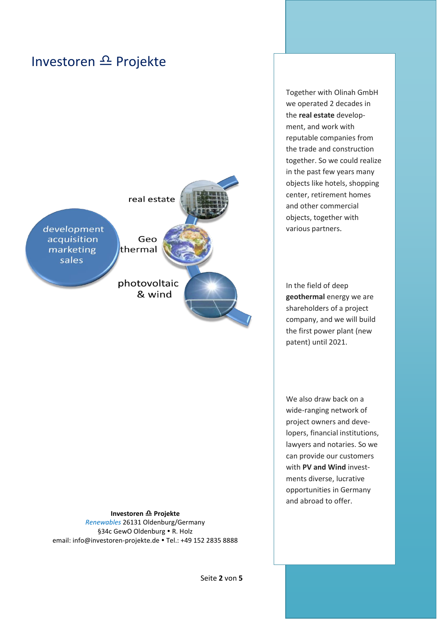



**Investoren <del></del> Projekte** *Renewables* 26131 Oldenburg/Germany §34c GewO Oldenburg . R. Holz email: info@investoren-projekte.de . Tel.: +49 152 2835 8888

Together with Olinah GmbH we operated 2 decades in the **real estate** development, and work with reputable companies from the trade and construction together. So we could realize in the past few years many objects like hotels, shopping center, retirement homes and other commercial objects, together with various partners.

In the field of deep **geothermal** energy we are shareholders of a project company, and we will build the first power plant (new patent) until 2021.

We also draw back on a wide-ranging network of project owners and developers, financial institutions, lawyers and notaries. So we can provide our customers with **PV and Wind** investments diverse, lucrative opportunities in Germany and abroad to offer.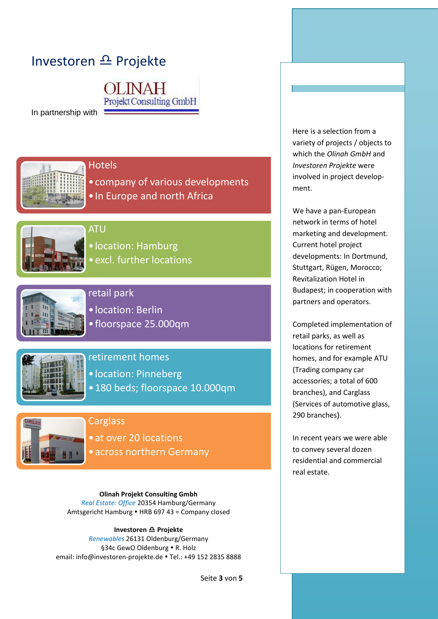# Investoren  $\triangle$  Projekte

**JNAH** Projekt Consulting GmbH

In partnership with



#### **Hotels**

•company of various developments •In Europe and north Africa



## ATU

•location: Hamburg

•excl. further locations



### retail park

•location: Berlin

•floorspace 25.000qm



#### retirement homes

•location: Pinneberg

•180 beds; floorspace 10.000qm



#### **Carglass**

•at over 20 locations •across northern Germany

**Olinah Projekt Consulting Gmbh** *Real Estate: Office* 20354 Hamburg/Germany Amtsgericht Hamburg • HRB 697 43 = Company closed

#### **Investoren**  $\mathbf{\Omega}$  **Projekte**

*Renewables* 26131 Oldenburg/Germany §34c GewO Oldenburg . R. Holz email: info@investoren-projekte.de . Tel.: +49 152 2835 8888 Here is a selection from a variety of projects / objects to which the *Olinah GmbH* and *Investoren Projekte* were involved in project development.

We have a pan-European network in terms of hotel marketing and development. Current hotel project developments: In Dortmund, Stuttgart, Rügen, Morocco; Revitalization Hotel in Budapest; in cooperation with partners and operators.

Completed implementation of retail parks, as well as locations for retirement homes, and for example ATU (Trading company car accessories; a total of 600 branches), and Carglass (Services of automotive glass, 290 branches).

In recent years we were able to convey several dozen residential and commercial real estate.

Seite **3** von **5**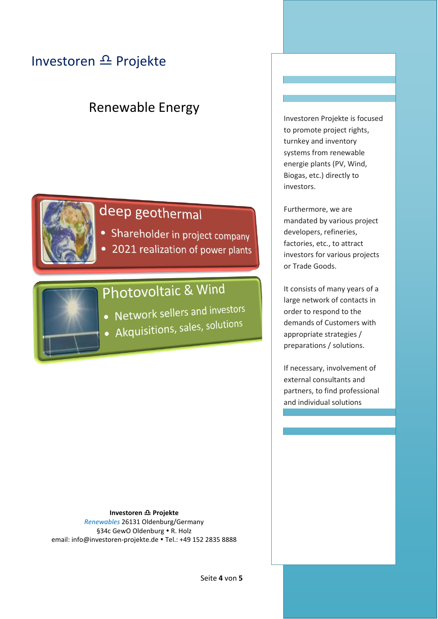# Investoren <sup><u>Ω</u></sup> Projekte

# Renewable Energy



# deep geothermal

- Shareholder in project company
- 2021 realization of power plants

# Photovoltaic & Wind

- Network sellers and investors
- Akquisitions, sales, solutions

**Investoren**  $\triangle$  **Projekte** *Renewables* 26131 Oldenburg/Germany §34c GewO Oldenburg . R. Holz email: info@investoren-projekte.de . Tel.: +49 152 2835 8888 Investoren Projekte is focused to promote project rights, turnkey and inventory systems from renewable energie plants (PV, Wind, Biogas, etc.) directly to investors.

Furthermore, we are mandated by various project developers, refineries, factories, etc., to attract investors for various projects or Trade Goods.

It consists of many years of a large network of contacts in order to respond to the demands of Customers with appropriate strategies / preparations / solutions.

If necessary, involvement of external consultants and partners, to find professional and individual solutions

Seite **4** von **5**